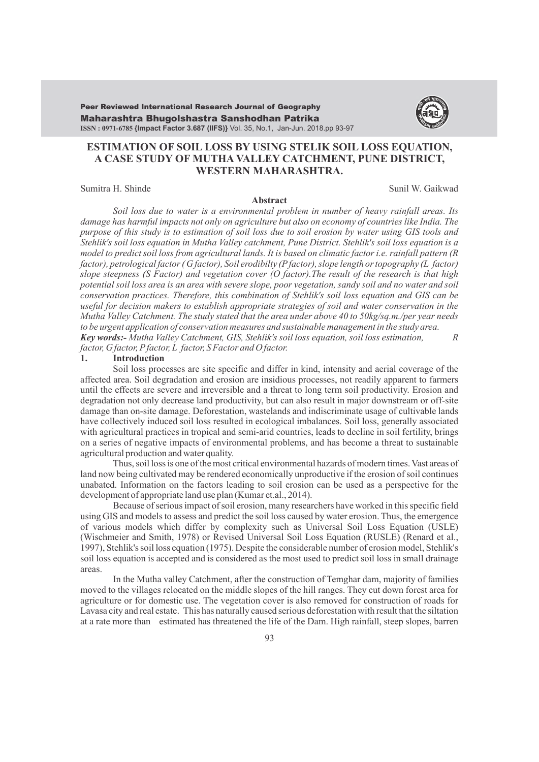Maharashtra Bhugolshastra Sanshodhan Patrika **ISSN : 0971-6785 {Impact Factor 3.687 (IIFS)}** Vol. 35, No.1, Jan-Jun. 2018.pp 93-97 Peer Reviewed International Research Journal of Geography



# **ESTIMATION OF SOIL LOSS BY USING STELIK SOIL LOSS EQUATION, A CASE STUDY OF MUTHA VALLEY CATCHMENT, PUNE DISTRICT, WESTERN MAHARASHTRA.**

### Sumitra H. Shinde Sunil W. Gaikwad

### **Abstract**

*Soil loss due to water is a environmental problem in number of heavy rainfall areas. Its damage has harmful impacts not only on agriculture but also on economy of countries like India. The purpose of this study is to estimation of soil loss due to soil erosion by water using GIS tools and Stehlik's soil loss equation in Mutha Valley catchment, Pune District. Stehlik's soil loss equation is a model to predict soil loss from agricultural lands. It is based on climatic factor i.e. rainfall pattern (R factor), petrological factor ( G factor), Soil erodibilty (Pfactor), slope length or topography (L factor) slope steepness (S Factor) and vegetation cover (O factor).The result of the research is that high potential soil loss area is an area with severe slope, poor vegetation, sandy soil and no water and soil conservation practices. Therefore, this combination of Stehlik's soil loss equation and GIS can be useful for decision makers to establish appropriate strategies of soil and water conservation in the Mutha Valley Catchment. The study stated that the area under above 40 to 50kg/sq.m./per year needs to be urgent application of conservation measures and sustainable management in the study area. Key words:- Mutha Valley Catchment, GIS, Stehlik's soil loss equation, soil loss estimation, R factor, G factor, Pfactor, L factor, S Factor and O factor.*

### **1. Introduction**

Soil loss processes are site specific and differ in kind, intensity and aerial coverage of the affected area. Soil degradation and erosion are insidious processes, not readily apparent to farmers until the effects are severe and irreversible and a threat to long term soil productivity. Erosion and degradation not only decrease land productivity, but can also result in major downstream or off-site damage than on-site damage. Deforestation, wastelands and indiscriminate usage of cultivable lands have collectively induced soil loss resulted in ecological imbalances. Soil loss, generally associated with agricultural practices in tropical and semi-arid countries, leads to decline in soil fertility, brings on a series of negative impacts of environmental problems, and has become a threat to sustainable agricultural production and water quality.

Thus, soil loss is one of the most critical environmental hazards of modern times. Vast areas of land now being cultivated may be rendered economically unproductive if the erosion of soil continues unabated. Information on the factors leading to soil erosion can be used as a perspective for the development of appropriate land use plan (Kumar et.al., 2014).

Because of serious impact of soil erosion, many researchers have worked in this specific field using GIS and models to assess and predict the soil loss caused by water erosion. Thus, the emergence of various models which differ by complexity such as Universal Soil Loss Equation (USLE) (Wischmeier and Smith, 1978) or Revised Universal Soil Loss Equation (RUSLE) (Renard et al., 1997), Stehlik's soil loss equation (1975). Despite the considerable number of erosion model, Stehlik's soil loss equation is accepted and is considered as the most used to predict soil loss in small drainage areas.

In the Mutha valley Catchment, after the construction of Temghar dam, majority of families moved to the villages relocated on the middle slopes of the hill ranges. They cut down forest area for agriculture or for domestic use. The vegetation cover is also removed for construction of roads for Lavasa city and real estate. This has naturally caused serious deforestation with result that the siltation at a rate more than estimated has threatened the life of the Dam. High rainfall, steep slopes, barren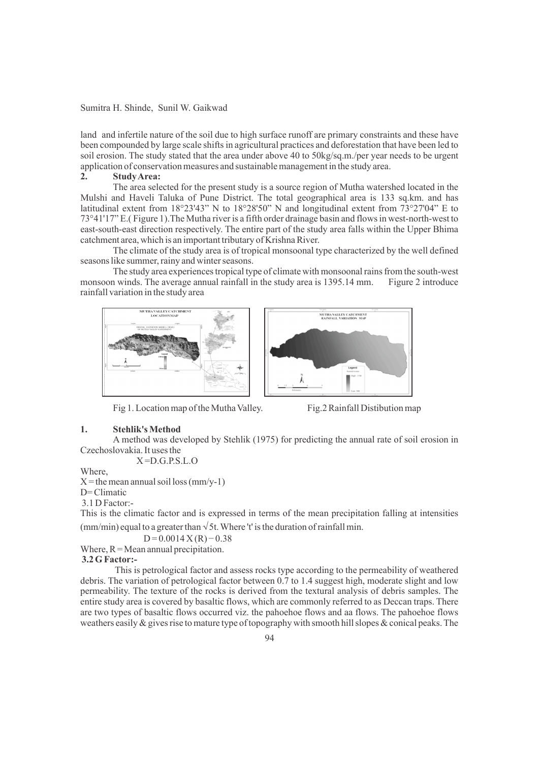land and infertile nature of the soil due to high surface runoff are primary constraints and these have been compounded by large scale shifts in agricultural practices and deforestation that have been led to soil erosion. The study stated that the area under above 40 to 50kg/sq.m./per year needs to be urgent application of conservation measures and sustainable management in the study area.

### **2. Study Area:**

The area selected for the present study is a source region of Mutha watershed located in the Mulshi and Haveli Taluka of Pune District. The total geographical area is 133 sq.km. and has latitudinal extent from 18°23'43" N to 18°28'50" N and longitudinal extent from 73°27'04" E to 73°41'17" E.( Figure 1).The Mutha river is a fifth order drainage basin and flows in west-north-west to east-south-east direction respectively. The entire part of the study area falls within the Upper Bhima catchment area, which is an important tributary of Krishna River.

The climate of the study area is of tropical monsoonal type characterized by the well defined seasons like summer, rainy and winter seasons.

The study area experiences tropical type of climate with monsoonal rains from the south-west<br>in winds. The average annual rainfall in the study area is 1395.14 mm. Figure 2 introduce monsoon winds. The average annual rainfall in the study area is 1395.14 mm. rainfall variation in the study area



Fig 1. Location map of the Mutha Valley. Fig.2 Rainfall Distibution map



### **1. Stehlik's Method**

A method was developed by Stehlik (1975) for predicting the annual rate of soil erosion in Czechoslovakia. It uses the

 $X = D.G.P.S.L.O$ 

Where

 $X =$  the mean annual soil loss (mm/y-1)

D= Climatic

3.1 D Factor:-

This is the climatic factor and is expressed in terms of the mean precipitation falling at intensities

(mm/min) equal to a greater than  $\sqrt{5t}$ . Where 't' is the duration of rainfall min.  $D = 0.0014 X(R) - 0.38$ 

Where,  $R = Mean$  annual precipitation.

# **3.2 G Factor:-**

This is petrological factor and assess rocks type according to the permeability of weathered debris. The variation of petrological factor between 0.7 to 1.4 suggest high, moderate slight and low permeability. The texture of the rocks is derived from the textural analysis of debris samples. The entire study area is covered by basaltic flows, which are commonly referred to as Deccan traps. There are two types of basaltic flows occurred viz. the pahoehoe flows and aa flows. The pahoehoe flows weathers easily & gives rise to mature type of topography with smooth hill slopes & conical peaks. The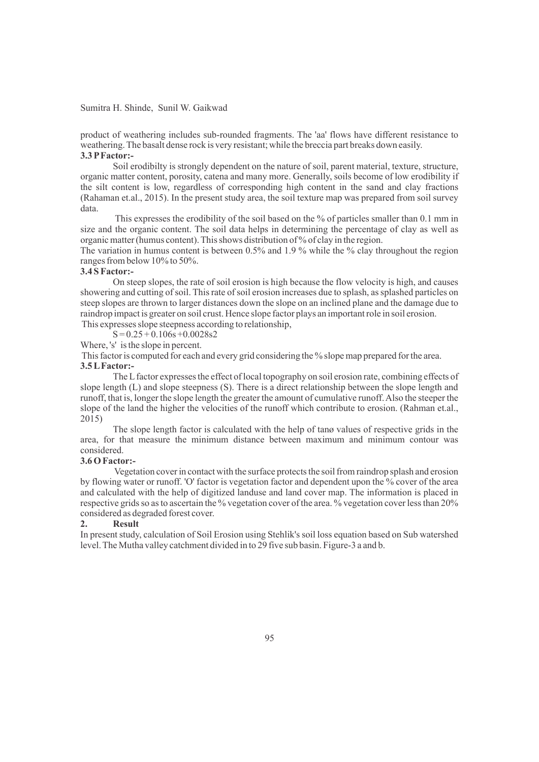product of weathering includes sub-rounded fragments. The 'aa' flows have different resistance to weathering. The basalt dense rock is very resistant; while the breccia part breaks down easily. **3.3 PFactor:-**

Soil erodibilty is strongly dependent on the nature of soil, parent material, texture, structure, organic matter content, porosity, catena and many more. Generally, soils become of low erodibility if the silt content is low, regardless of corresponding high content in the sand and clay fractions (Rahaman et.al., 2015). In the present study area, the soil texture map was prepared from soil survey data.

This expresses the erodibility of the soil based on the % of particles smaller than 0.1 mm in size and the organic content. The soil data helps in determining the percentage of clay as well as organic matter (humus content). This shows distribution of % of clay in the region.

The variation in humus content is between 0.5% and 1.9 % while the % clay throughout the region ranges from below 10% to 50%.

# **3.4 S Factor:-**

On steep slopes, the rate of soil erosion is high because the flow velocity is high, and causes showering and cutting of soil. This rate of soil erosion increases due to splash, as splashed particles on steep slopes are thrown to larger distances down the slope on an inclined plane and the damage due to raindrop impact is greater on soil crust. Hence slope factor plays an important role in soil erosion. This expresses slope steepness according to relationship,

 $S = 0.25 + 0.106s + 0.0028s2$ 

Where, 's' is the slope in percent.

This factor is computed for each and every grid considering the % slope map prepared for the area. **3.5 LFactor:-** 

The Lfactor expresses the effect of local topography on soil erosion rate, combining effects of slope length (L) and slope steepness (S). There is a direct relationship between the slope length and runoff, that is, longer the slope length the greater the amount of cumulative runoff. Also the steeper the slope of the land the higher the velocities of the runoff which contribute to erosion. (Rahman et.al., 2015)

The slope length factor is calculated with the help of tanø values of respective grids in the area, for that measure the minimum distance between maximum and minimum contour was considered.

# **3.6 O Factor:-**

Vegetation cover in contact with the surface protects the soil from raindrop splash and erosion by flowing water or runoff. 'O' factor is vegetation factor and dependent upon the % cover of the area and calculated with the help of digitized landuse and land cover map. The information is placed in respective grids so as to ascertain the % vegetation cover of the area. % vegetation cover less than 20% considered as degraded forest cover.

### **2. Result**

In present study, calculation of Soil Erosion using Stehlik's soil loss equation based on Sub watershed level. The Mutha valley catchment divided in to 29 five sub basin. Figure-3 a and b.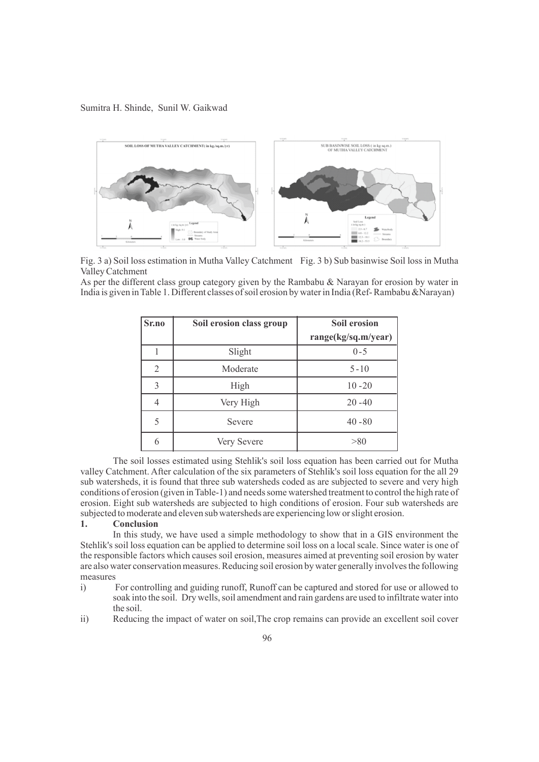

Fig. 3 a) Soil loss estimation in Mutha Valley Catchment Fig. 3 b) Sub basinwise Soil loss in Mutha Valley Catchment

As per the different class group category given by the Rambabu  $\&$  Narayan for erosion by water in India is given in Table 1. Different classes of soil erosion by water in India (Ref- Rambabu &Narayan)

| Sr.no          | Soil erosion class group | Soil erosion        |
|----------------|--------------------------|---------------------|
|                |                          | range(kg/sq.m/year) |
|                | Slight                   | $0 - 5$             |
| $\overline{2}$ | Moderate                 | $5 - 10$            |
| 3              | High                     | $10 - 20$           |
| 4              | Very High                | $20 - 40$           |
| 5              | Severe                   | $40 - 80$           |
| 6              | Very Severe              | > 80                |

The soil losses estimated using Stehlik's soil loss equation has been carried out for Mutha valley Catchment. After calculation of the six parameters of Stehlik's soil loss equation for the all 29 sub watersheds, it is found that three sub watersheds coded as are subjected to severe and very high conditions of erosion (given in Table-1) and needs some watershed treatment to control the high rate of erosion. Eight sub watersheds are subjected to high conditions of erosion. Four sub watersheds are subjected to moderate and eleven sub watersheds are experiencing low or slight erosion.

# **1. Conclusion**

In this study, we have used a simple methodology to show that in a GIS environment the Stehlik's soil loss equation can be applied to determine soil loss on a local scale. Since water is one of the responsible factors which causes soil erosion, measures aimed at preventing soil erosion by water are also water conservation measures. Reducing soil erosion by water generally involves the following measures

- i) For controlling and guiding runoff, Runoff can be captured and stored for use or allowed to soak into the soil. Dry wells, soil amendment and rain gardens are used to infiltrate water into the soil.
- ii) Reducing the impact of water on soil,The crop remains can provide an excellent soil cover